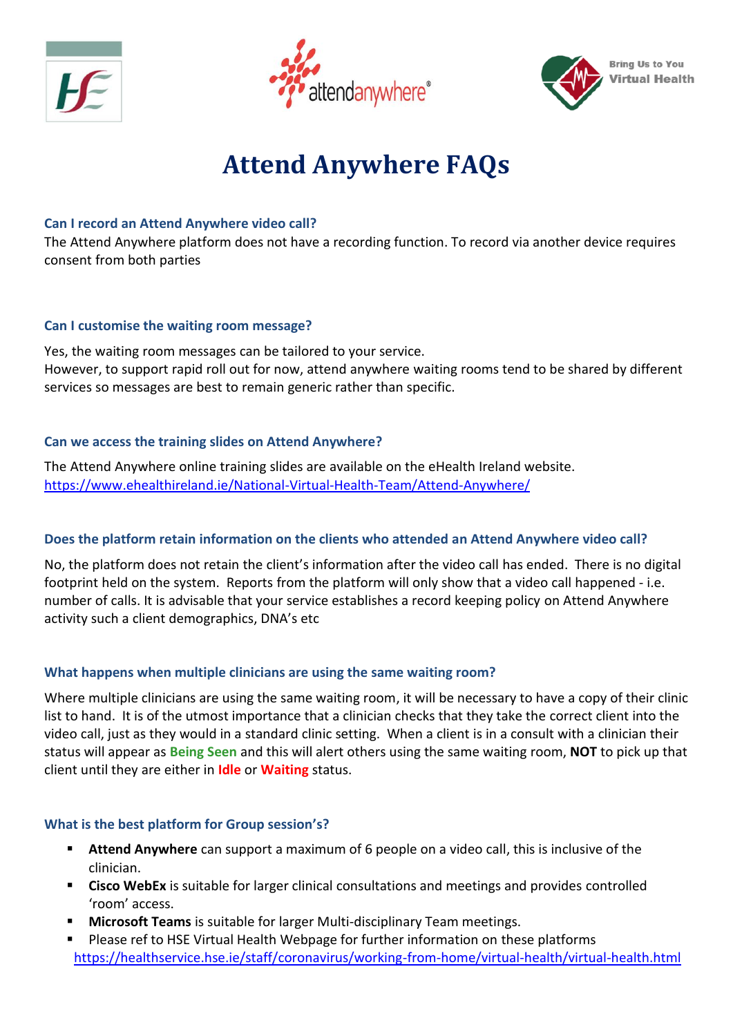





# **Attend Anywhere FAQs**

## **Can I record an Attend Anywhere video call?**

The Attend Anywhere platform does not have a recording function. To record via another device requires consent from both parties

## **Can I customise the waiting room message?**

Yes, the waiting room messages can be tailored to your service. However, to support rapid roll out for now, attend anywhere waiting rooms tend to be shared by different services so messages are best to remain generic rather than specific.

## **Can we access the training slides on Attend Anywhere?**

The Attend Anywhere online training slides are available on the eHealth Ireland website. <https://www.ehealthireland.ie/National-Virtual-Health-Team/Attend-Anywhere/>

# **Does the platform retain information on the clients who attended an Attend Anywhere video call?**

No, the platform does not retain the client's information after the video call has ended. There is no digital footprint held on the system. Reports from the platform will only show that a video call happened - i.e. number of calls. It is advisable that your service establishes a record keeping policy on Attend Anywhere activity such a client demographics, DNA's etc

# **What happens when multiple clinicians are using the same waiting room?**

Where multiple clinicians are using the same waiting room, it will be necessary to have a copy of their clinic list to hand. It is of the utmost importance that a clinician checks that they take the correct client into the video call, just as they would in a standard clinic setting. When a client is in a consult with a clinician their status will appear as **Being Seen** and this will alert others using the same waiting room, **NOT** to pick up that client until they are either in **Idle** or **Waiting** status.

# **What is the best platform for Group session's?**

- **EXTER Attend Anywhere** can support a maximum of 6 people on a video call, this is inclusive of the clinician.
- Cisco WebEx is suitable for larger clinical consultations and meetings and provides controlled 'room' access.
- **Microsoft Teams** is suitable for larger Multi-disciplinary Team meetings.
- Please ref to HSE Virtual Health Webpage for further information on these platforms <https://healthservice.hse.ie/staff/coronavirus/working-from-home/virtual-health/virtual-health.html>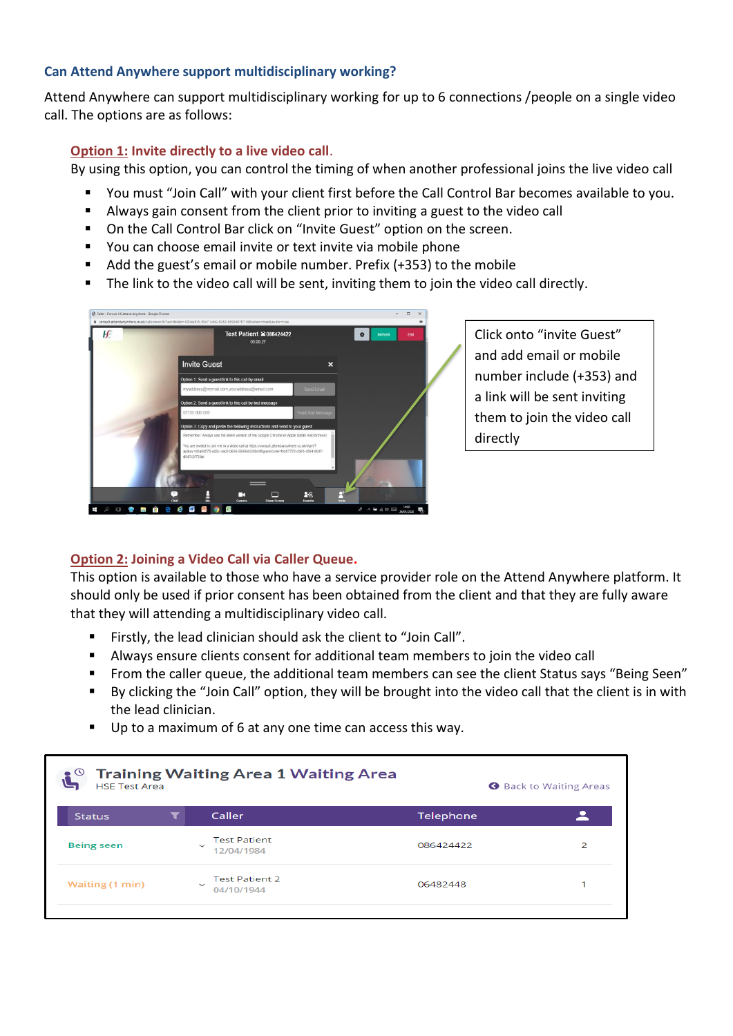#### **Can Attend Anywhere support multidisciplinary working?**

Attend Anywhere can support multidisciplinary working for up to 6 connections /people on a single video call. The options are as follows:

#### **Option 1: Invite directly to a live video call**.

By using this option, you can control the timing of when another professional joins the live video call

- You must "Join Call" with your client first before the Call Control Bar becomes available to you.
- Always gain consent from the client prior to inviting a guest to the video call
- On the Call Control Bar click on "Invite Guest" option on the screen.
- You can choose email invite or text invite via mobile phone
- Add the guest's email or mobile number. Prefix (+353) to the mobile
- The link to the video call will be sent, inviting them to join the video call directly.



Click onto "invite Guest" and add email or mobile number include (+353) and a link will be sent inviting them to join the video call directly

## **Option 2: Joining a Video Call via Caller Queue.**

This option is available to those who have a service provider role on the Attend Anywhere platform. It should only be used if prior consent has been obtained from the client and that they are fully aware that they will attending a multidisciplinary video call.

- Firstly, the lead clinician should ask the client to "Join Call".
- Always ensure clients consent for additional team members to join the video call
- From the caller queue, the additional team members can see the client Status says "Being Seen"
- By clicking the "Join Call" option, they will be brought into the video call that the client is in with the lead clinician.
- Up to a maximum of 6 at any one time can access this way.

| <b>HSE Test Area</b>   |              | <b>Training Waiting Area 1 Waiting Area</b> |           | <b>Back to Waiting Areas</b> |
|------------------------|--------------|---------------------------------------------|-----------|------------------------------|
| <b>Status</b>          |              | Caller                                      | Telephone |                              |
| <b>Being seen</b>      | $\checkmark$ | <b>Test Patient</b><br>12/04/1984           | 086424422 | 2                            |
| <b>Waiting (1 min)</b> | $\checkmark$ | <b>Test Patient 2</b><br>04/10/1944         | 06482448  |                              |
|                        |              |                                             |           |                              |